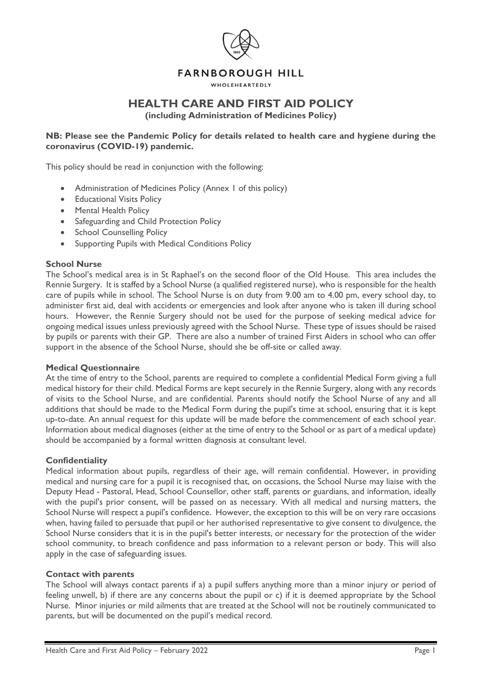

# **FARNBOROUGH HILL**

#### **WHOLEHEARTEDLY**

# **HEALTH CARE AND FIRST AID POLICY**

**(including Administration of Medicines Policy)**

## **NB: Please see the Pandemic Policy for details related to health care and hygiene during the coronavirus (COVID-19) pandemic.**

This policy should be read in conjunction with the following:

- Administration of Medicines Policy (Annex 1 of this policy)
- Educational Visits Policy
- Mental Health Policy
- Safeguarding and Child Protection Policy
- School Counselling Policy
- Supporting Pupils with Medical Conditions Policy

### **School Nurse**

The School's medical area is in St Raphael's on the second floor of the Old House. This area includes the Rennie Surgery. It is staffed by a School Nurse (a qualified registered nurse), who is responsible for the health care of pupils while in school. The School Nurse is on duty from 9.00 am to 4.00 pm, every school day, to administer first aid, deal with accidents or emergencies and look after anyone who is taken ill during school hours. However, the Rennie Surgery should not be used for the purpose of seeking medical advice for ongoing medical issues unless previously agreed with the School Nurse. These type of issues should be raised by pupils or parents with their GP. There are also a number of trained First Aiders in school who can offer support in the absence of the School Nurse, should she be off-site or called away.

### **Medical Questionnaire**

At the time of entry to the School, parents are required to complete a confidential Medical Form giving a full medical history for their child. Medical Forms are kept securely in the Rennie Surgery, along with any records of visits to the School Nurse, and are confidential. Parents should notify the School Nurse of any and all additions that should be made to the Medical Form during the pupil's time at school, ensuring that it is kept up-to-date. An annual request for this update will be made before the commencement of each school year. Information about medical diagnoses (either at the time of entry to the School or as part of a medical update) should be accompanied by a formal written diagnosis at consultant level.

### **Confidentiality**

Medical information about pupils, regardless of their age, will remain confidential. However, in providing medical and nursing care for a pupil it is recognised that, on occasions, the School Nurse may liaise with the Deputy Head - Pastoral, Head, School Counsellor, other staff, parents or guardians, and information, ideally with the pupil's prior consent, will be passed on as necessary. With all medical and nursing matters, the School Nurse will respect a pupil's confidence. However, the exception to this will be on very rare occasions when, having failed to persuade that pupil or her authorised representative to give consent to divulgence, the School Nurse considers that it is in the pupil's better interests, or necessary for the protection of the wider school community, to breach confidence and pass information to a relevant person or body. This will also apply in the case of safeguarding issues.

### **Contact with parents**

The School will always contact parents if a) a pupil suffers anything more than a minor injury or period of feeling unwell, b) if there are any concerns about the pupil or c) if it is deemed appropriate by the School Nurse. Minor injuries or mild ailments that are treated at the School will not be routinely communicated to parents, but will be documented on the pupil's medical record.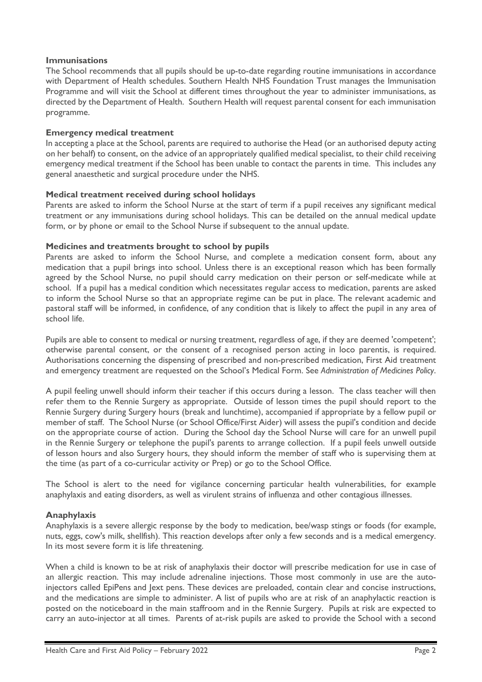### **Immunisations**

The School recommends that all pupils should be up-to-date regarding routine immunisations in accordance with Department of Health schedules. Southern Health NHS Foundation Trust manages the Immunisation Programme and will visit the School at different times throughout the year to administer immunisations, as directed by the Department of Health. Southern Health will request parental consent for each immunisation programme.

### **Emergency medical treatment**

In accepting a place at the School, parents are required to authorise the Head (or an authorised deputy acting on her behalf) to consent, on the advice of an appropriately qualified medical specialist, to their child receiving emergency medical treatment if the School has been unable to contact the parents in time. This includes any general anaesthetic and surgical procedure under the NHS.

### **Medical treatment received during school holidays**

Parents are asked to inform the School Nurse at the start of term if a pupil receives any significant medical treatment or any immunisations during school holidays. This can be detailed on the annual medical update form, or by phone or email to the School Nurse if subsequent to the annual update.

### **Medicines and treatments brought to school by pupils**

Parents are asked to inform the School Nurse, and complete a medication consent form, about any medication that a pupil brings into school. Unless there is an exceptional reason which has been formally agreed by the School Nurse, no pupil should carry medication on their person or self-medicate while at school. If a pupil has a medical condition which necessitates regular access to medication, parents are asked to inform the School Nurse so that an appropriate regime can be put in place. The relevant academic and pastoral staff will be informed, in confidence, of any condition that is likely to affect the pupil in any area of school life.

Pupils are able to consent to medical or nursing treatment, regardless of age, if they are deemed 'competent'; otherwise parental consent, or the consent of a recognised person acting in loco parentis, is required. Authorisations concerning the dispensing of prescribed and non-prescribed medication, First Aid treatment and emergency treatment are requested on the School's Medical Form. See *Administration of Medicines Policy*.

A pupil feeling unwell should inform their teacher if this occurs during a lesson. The class teacher will then refer them to the Rennie Surgery as appropriate. Outside of lesson times the pupil should report to the Rennie Surgery during Surgery hours (break and lunchtime), accompanied if appropriate by a fellow pupil or member of staff. The School Nurse (or School Office/First Aider) will assess the pupil's condition and decide on the appropriate course of action. During the School day the School Nurse will care for an unwell pupil in the Rennie Surgery or telephone the pupil's parents to arrange collection. If a pupil feels unwell outside of lesson hours and also Surgery hours, they should inform the member of staff who is supervising them at the time (as part of a co-curricular activity or Prep) or go to the School Office.

The School is alert to the need for vigilance concerning particular health vulnerabilities, for example anaphylaxis and eating disorders, as well as virulent strains of influenza and other contagious illnesses.

## **Anaphylaxis**

Anaphylaxis is a severe allergic response by the body to medication, bee/wasp stings or foods (for example, nuts, eggs, cow's milk, shellfish). This reaction develops after only a few seconds and is a medical emergency. In its most severe form it is life threatening.

When a child is known to be at risk of anaphylaxis their doctor will prescribe medication for use in case of an allergic reaction. This may include adrenaline injections. Those most commonly in use are the autoinjectors called EpiPens and Jext pens. These devices are preloaded, contain clear and concise instructions, and the medications are simple to administer. A list of pupils who are at risk of an anaphylactic reaction is posted on the noticeboard in the main staffroom and in the Rennie Surgery. Pupils at risk are expected to carry an auto-injector at all times. Parents of at-risk pupils are asked to provide the School with a second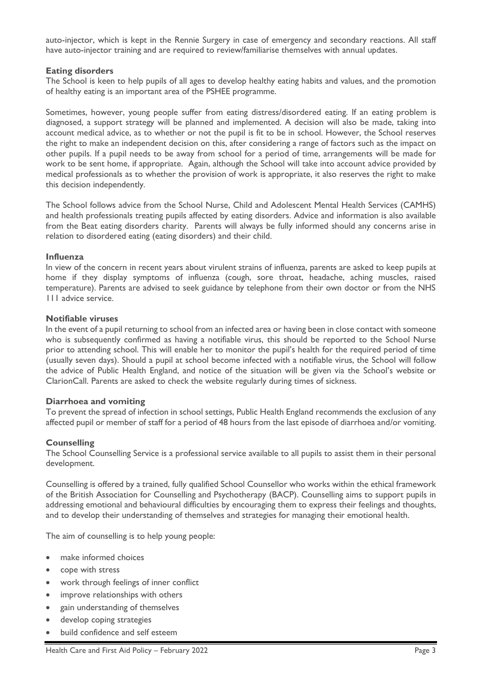auto-injector, which is kept in the Rennie Surgery in case of emergency and secondary reactions. All staff have auto-injector training and are required to review/familiarise themselves with annual updates.

### **Eating disorders**

The School is keen to help pupils of all ages to develop healthy eating habits and values, and the promotion of healthy eating is an important area of the PSHEE programme.

Sometimes, however, young people suffer from eating distress/disordered eating. If an eating problem is diagnosed, a support strategy will be planned and implemented. A decision will also be made, taking into account medical advice, as to whether or not the pupil is fit to be in school. However, the School reserves the right to make an independent decision on this, after considering a range of factors such as the impact on other pupils. If a pupil needs to be away from school for a period of time, arrangements will be made for work to be sent home, if appropriate. Again, although the School will take into account advice provided by medical professionals as to whether the provision of work is appropriate, it also reserves the right to make this decision independently.

The School follows advice from the School Nurse, Child and Adolescent Mental Health Services (CAMHS) and health professionals treating pupils affected by eating disorders. Advice and information is also available from the Beat eating disorders charity. Parents will always be fully informed should any concerns arise in relation to disordered eating (eating disorders) and their child.

### **Influenza**

In view of the concern in recent years about virulent strains of influenza, parents are asked to keep pupils at home if they display symptoms of influenza (cough, sore throat, headache, aching muscles, raised temperature). Parents are advised to seek guidance by telephone from their own doctor or from the NHS 111 advice service.

### **Notifiable viruses**

In the event of a pupil returning to school from an infected area or having been in close contact with someone who is subsequently confirmed as having a notifiable virus, this should be reported to the School Nurse prior to attending school. This will enable her to monitor the pupil's health for the required period of time (usually seven days). Should a pupil at school become infected with a notifiable virus, the School will follow the advice of Public Health England, and notice of the situation will be given via the School's website or ClarionCall. Parents are asked to check the website regularly during times of sickness.

### **Diarrhoea and vomiting**

To prevent the spread of infection in school settings, Public Health England recommends the exclusion of any affected pupil or member of staff for a period of 48 hours from the last episode of diarrhoea and/or vomiting.

### **Counselling**

The School Counselling Service is a professional service available to all pupils to assist them in their personal development.

Counselling is offered by a trained, fully qualified School Counsellor who works within the ethical framework of the British Association for Counselling and Psychotherapy (BACP). Counselling aims to support pupils in addressing emotional and behavioural difficulties by encouraging them to express their feelings and thoughts, and to develop their understanding of themselves and strategies for managing their emotional health.

The aim of counselling is to help young people:

- make informed choices
- cope with stress
- work through feelings of inner conflict
- improve relationships with others
- gain understanding of themselves
- develop coping strategies
- build confidence and self esteem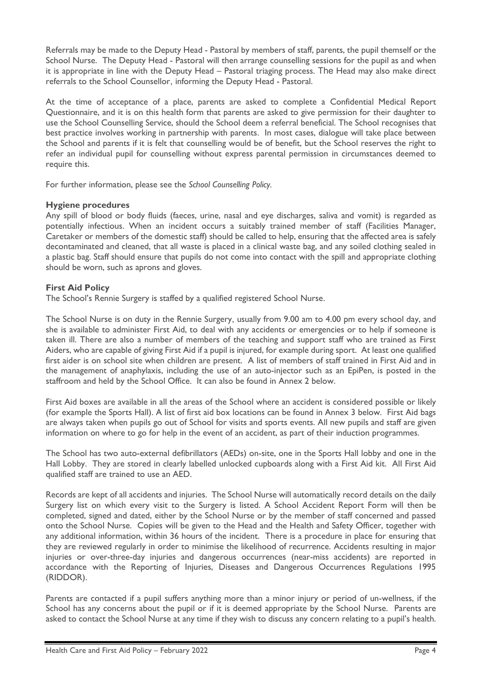Referrals may be made to the Deputy Head - Pastoral by members of staff, parents, the pupil themself or the School Nurse. The Deputy Head - Pastoral will then arrange counselling sessions for the pupil as and when it is appropriate in line with the Deputy Head – Pastoral triaging process. The Head may also make direct referrals to the School Counsellor, informing the Deputy Head - Pastoral.

At the time of acceptance of a place, parents are asked to complete a Confidential Medical Report Questionnaire, and it is on this health form that parents are asked to give permission for their daughter to use the School Counselling Service, should the School deem a referral beneficial. The School recognises that best practice involves working in partnership with parents. In most cases, dialogue will take place between the School and parents if it is felt that counselling would be of benefit, but the School reserves the right to refer an individual pupil for counselling without express parental permission in circumstances deemed to require this.

For further information, please see the *School Counselling Policy.*

## **Hygiene procedures**

Any spill of blood or body fluids (faeces, urine, nasal and eye discharges, saliva and vomit) is regarded as potentially infectious. When an incident occurs a suitably trained member of staff (Facilities Manager, Caretaker or members of the domestic staff) should be called to help, ensuring that the affected area is safely decontaminated and cleaned, that all waste is placed in a clinical waste bag, and any soiled clothing sealed in a plastic bag. Staff should ensure that pupils do not come into contact with the spill and appropriate clothing should be worn, such as aprons and gloves.

## **First Aid Policy**

The School's Rennie Surgery is staffed by a qualified registered School Nurse.

The School Nurse is on duty in the Rennie Surgery, usually from 9.00 am to 4.00 pm every school day, and she is available to administer First Aid, to deal with any accidents or emergencies or to help if someone is taken ill. There are also a number of members of the teaching and support staff who are trained as First Aiders, who are capable of giving First Aid if a pupil is injured, for example during sport. At least one qualified first aider is on school site when children are present. A list of members of staff trained in First Aid and in the management of anaphylaxis, including the use of an auto-injector such as an EpiPen, is posted in the staffroom and held by the School Office. It can also be found in Annex 2 below.

First Aid boxes are available in all the areas of the School where an accident is considered possible or likely (for example the Sports Hall). A list of first aid box locations can be found in Annex 3 below. First Aid bags are always taken when pupils go out of School for visits and sports events. All new pupils and staff are given information on where to go for help in the event of an accident, as part of their induction programmes.

The School has two auto-external defibrillators (AEDs) on-site, one in the Sports Hall lobby and one in the Hall Lobby. They are stored in clearly labelled unlocked cupboards along with a First Aid kit. All First Aid qualified staff are trained to use an AED.

Records are kept of all accidents and injuries. The School Nurse will automatically record details on the daily Surgery list on which every visit to the Surgery is listed. A School Accident Report Form will then be completed, signed and dated, either by the School Nurse or by the member of staff concerned and passed onto the School Nurse. Copies will be given to the Head and the Health and Safety Officer, together with any additional information, within 36 hours of the incident. There is a procedure in place for ensuring that they are reviewed regularly in order to minimise the likelihood of recurrence. Accidents resulting in major injuries or over-three-day injuries and dangerous occurrences (near-miss accidents) are reported in accordance with the Reporting of Injuries, Diseases and Dangerous Occurrences Regulations 1995 (RIDDOR).

Parents are contacted if a pupil suffers anything more than a minor injury or period of un-wellness, if the School has any concerns about the pupil or if it is deemed appropriate by the School Nurse. Parents are asked to contact the School Nurse at any time if they wish to discuss any concern relating to a pupil's health.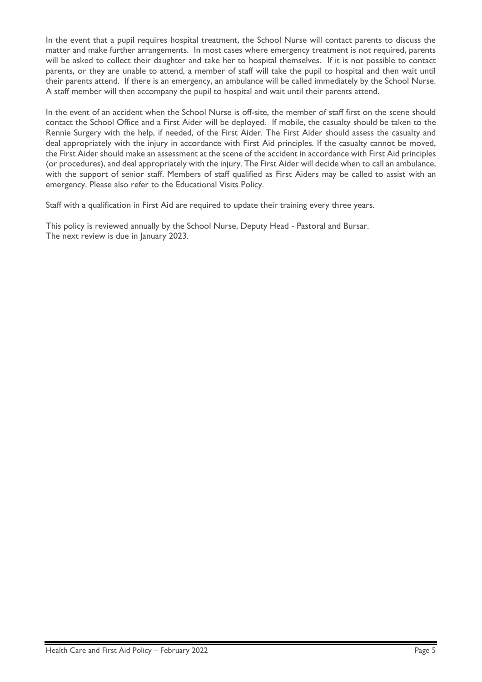In the event that a pupil requires hospital treatment, the School Nurse will contact parents to discuss the matter and make further arrangements. In most cases where emergency treatment is not required, parents will be asked to collect their daughter and take her to hospital themselves. If it is not possible to contact parents, or they are unable to attend, a member of staff will take the pupil to hospital and then wait until their parents attend. If there is an emergency, an ambulance will be called immediately by the School Nurse. A staff member will then accompany the pupil to hospital and wait until their parents attend.

In the event of an accident when the School Nurse is off-site, the member of staff first on the scene should contact the School Office and a First Aider will be deployed. If mobile, the casualty should be taken to the Rennie Surgery with the help, if needed, of the First Aider. The First Aider should assess the casualty and deal appropriately with the injury in accordance with First Aid principles. If the casualty cannot be moved, the First Aider should make an assessment at the scene of the accident in accordance with First Aid principles (or procedures), and deal appropriately with the injury. The First Aider will decide when to call an ambulance, with the support of senior staff. Members of staff qualified as First Aiders may be called to assist with an emergency. Please also refer to the Educational Visits Policy.

Staff with a qualification in First Aid are required to update their training every three years.

This policy is reviewed annually by the School Nurse, Deputy Head - Pastoral and Bursar. The next review is due in January 2023.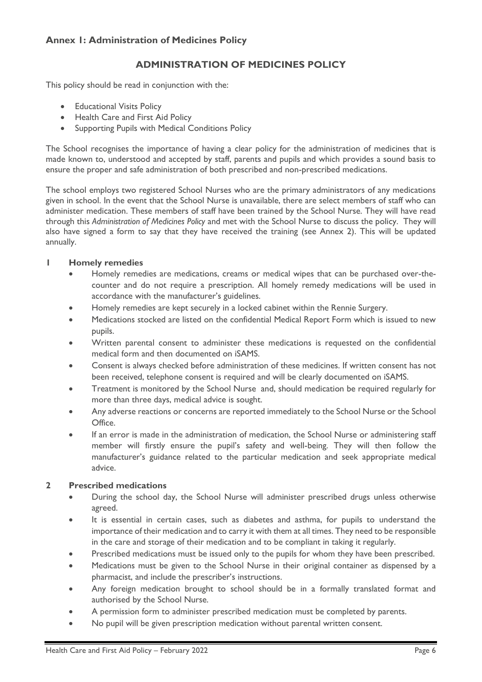# **ADMINISTRATION OF MEDICINES POLICY**

This policy should be read in conjunction with the:

- Educational Visits Policy
- Health Care and First Aid Policy
- Supporting Pupils with Medical Conditions Policy

The School recognises the importance of having a clear policy for the administration of medicines that is made known to, understood and accepted by staff, parents and pupils and which provides a sound basis to ensure the proper and safe administration of both prescribed and non-prescribed medications.

The school employs two registered School Nurses who are the primary administrators of any medications given in school. In the event that the School Nurse is unavailable, there are select members of staff who can administer medication. These members of staff have been trained by the School Nurse. They will have read through this *Administration of Medicines Policy* and met with the School Nurse to discuss the policy. They will also have signed a form to say that they have received the training (see Annex 2). This will be updated annually.

## **1 Homely remedies**

- Homely remedies are medications, creams or medical wipes that can be purchased over-thecounter and do not require a prescription. All homely remedy medications will be used in accordance with the manufacturer's guidelines.
- Homely remedies are kept securely in a locked cabinet within the Rennie Surgery.
- Medications stocked are listed on the confidential Medical Report Form which is issued to new pupils.
- Written parental consent to administer these medications is requested on the confidential medical form and then documented on iSAMS.
- Consent is always checked before administration of these medicines. If written consent has not been received, telephone consent is required and will be clearly documented on iSAMS.
- Treatment is monitored by the School Nurse and, should medication be required regularly for more than three days, medical advice is sought.
- Any adverse reactions or concerns are reported immediately to the School Nurse or the School Office.
- If an error is made in the administration of medication, the School Nurse or administering staff member will firstly ensure the pupil's safety and well-being. They will then follow the manufacturer's guidance related to the particular medication and seek appropriate medical advice.

## **2 Prescribed medications**

- During the school day, the School Nurse will administer prescribed drugs unless otherwise agreed.
- It is essential in certain cases, such as diabetes and asthma, for pupils to understand the importance of their medication and to carry it with them at all times. They need to be responsible in the care and storage of their medication and to be compliant in taking it regularly.
- Prescribed medications must be issued only to the pupils for whom they have been prescribed.
- Medications must be given to the School Nurse in their original container as dispensed by a pharmacist, and include the prescriber's instructions.
- Any foreign medication brought to school should be in a formally translated format and authorised by the School Nurse.
- A permission form to administer prescribed medication must be completed by parents.
- No pupil will be given prescription medication without parental written consent.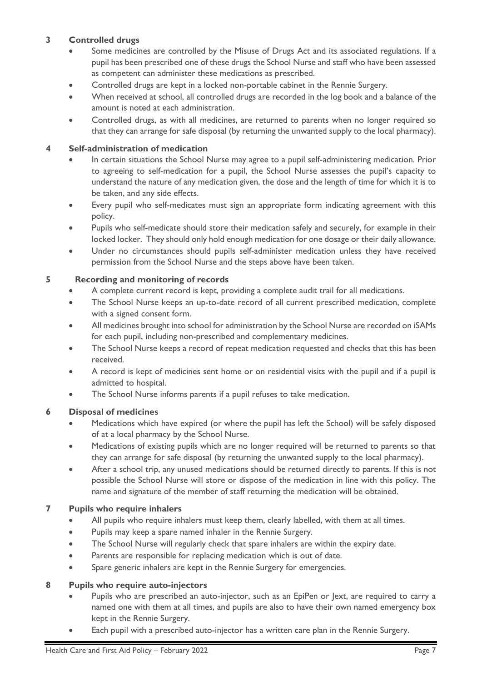# **3 Controlled drugs**

- Some medicines are controlled by the Misuse of Drugs Act and its associated regulations. If a pupil has been prescribed one of these drugs the School Nurse and staff who have been assessed as competent can administer these medications as prescribed.
- Controlled drugs are kept in a locked non-portable cabinet in the Rennie Surgery.
- When received at school, all controlled drugs are recorded in the log book and a balance of the amount is noted at each administration.
- Controlled drugs, as with all medicines, are returned to parents when no longer required so that they can arrange for safe disposal (by returning the unwanted supply to the local pharmacy).

## **4 Self-administration of medication**

- In certain situations the School Nurse may agree to a pupil self-administering medication. Prior to agreeing to self-medication for a pupil, the School Nurse assesses the pupil's capacity to understand the nature of any medication given, the dose and the length of time for which it is to be taken, and any side effects.
- Every pupil who self-medicates must sign an appropriate form indicating agreement with this policy.
- Pupils who self-medicate should store their medication safely and securely, for example in their locked locker. They should only hold enough medication for one dosage or their daily allowance.
- Under no circumstances should pupils self-administer medication unless they have received permission from the School Nurse and the steps above have been taken.

## **5 Recording and monitoring of records**

- A complete current record is kept, providing a complete audit trail for all medications.
- The School Nurse keeps an up-to-date record of all current prescribed medication, complete with a signed consent form.
- All medicines brought into school for administration by the School Nurse are recorded on iSAMs for each pupil, including non-prescribed and complementary medicines.
- The School Nurse keeps a record of repeat medication requested and checks that this has been received.
- A record is kept of medicines sent home or on residential visits with the pupil and if a pupil is admitted to hospital.
- The School Nurse informs parents if a pupil refuses to take medication.

# **6 Disposal of medicines**

- Medications which have expired (or where the pupil has left the School) will be safely disposed of at a local pharmacy by the School Nurse.
- Medications of existing pupils which are no longer required will be returned to parents so that they can arrange for safe disposal (by returning the unwanted supply to the local pharmacy).
- After a school trip, any unused medications should be returned directly to parents. If this is not possible the School Nurse will store or dispose of the medication in line with this policy. The name and signature of the member of staff returning the medication will be obtained.

# **7 Pupils who require inhalers**

- All pupils who require inhalers must keep them, clearly labelled, with them at all times.
- Pupils may keep a spare named inhaler in the Rennie Surgery.
- The School Nurse will regularly check that spare inhalers are within the expiry date.
- Parents are responsible for replacing medication which is out of date.
- Spare generic inhalers are kept in the Rennie Surgery for emergencies.

## **8 Pupils who require auto-injectors**

- Pupils who are prescribed an auto-injector, such as an EpiPen or Jext, are required to carry a named one with them at all times, and pupils are also to have their own named emergency box kept in the Rennie Surgery.
- Each pupil with a prescribed auto-injector has a written care plan in the Rennie Surgery.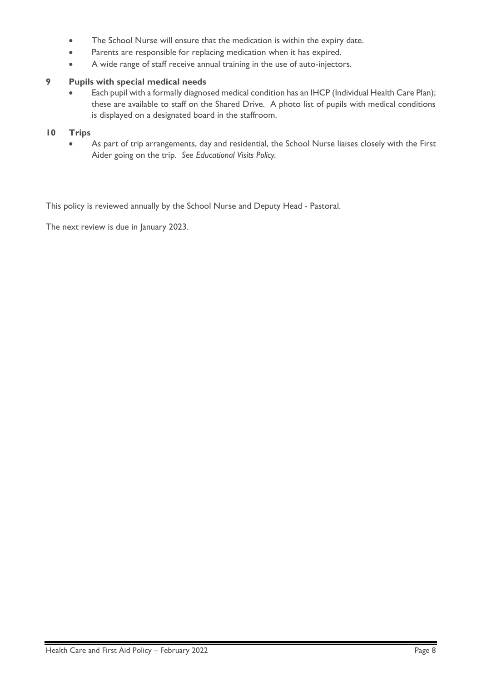- The School Nurse will ensure that the medication is within the expiry date.
- Parents are responsible for replacing medication when it has expired.
- A wide range of staff receive annual training in the use of auto-injectors.

## **9 Pupils with special medical needs**

Each pupil with a formally diagnosed medical condition has an IHCP (Individual Health Care Plan); these are available to staff on the Shared Drive. A photo list of pupils with medical conditions is displayed on a designated board in the staffroom.

## **10 Trips**

As part of trip arrangements, day and residential, the School Nurse liaises closely with the First Aider going on the trip. *See Educational Visits Policy.*

This policy is reviewed annually by the School Nurse and Deputy Head - Pastoral.

The next review is due in January 2023.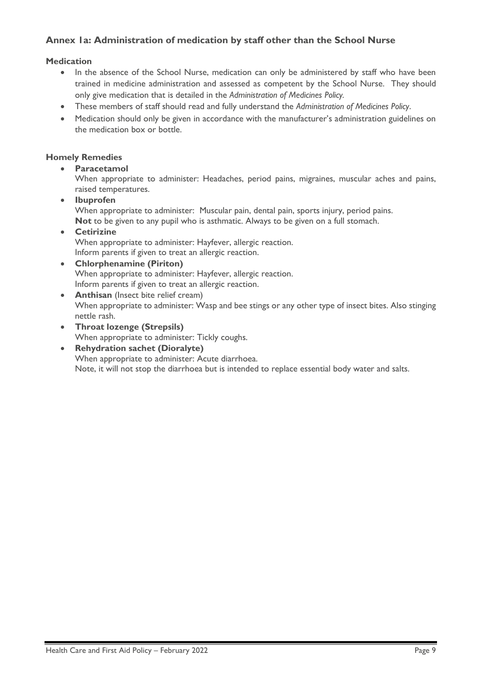# **Annex 1a: Administration of medication by staff other than the School Nurse**

## **Medication**

- In the absence of the School Nurse, medication can only be administered by staff who have been trained in medicine administration and assessed as competent by the School Nurse. They should only give medication that is detailed in the *Administration of Medicines Policy.*
- These members of staff should read and fully understand the *Administration of Medicines Policy*.
- Medication should only be given in accordance with the manufacturer's administration guidelines on the medication box or bottle.

### **Homely Remedies**

• **Paracetamol** 

When appropriate to administer: Headaches, period pains, migraines, muscular aches and pains, raised temperatures.

• **Ibuprofen**

When appropriate to administer: Muscular pain, dental pain, sports injury, period pains. **Not** to be given to any pupil who is asthmatic. Always to be given on a full stomach.

• **Cetirizine** When appropriate to administer: Hayfever, allergic reaction. Inform parents if given to treat an allergic reaction.

• **Chlorphenamine (Piriton)**  When appropriate to administer: Hayfever, allergic reaction.

- Inform parents if given to treat an allergic reaction.
- **Anthisan** (Insect bite relief cream) When appropriate to administer: Wasp and bee stings or any other type of insect bites. Also stinging nettle rash.
- **Throat lozenge (Strepsils)**  When appropriate to administer: Tickly coughs.
- **Rehydration sachet (Dioralyte)** When appropriate to administer: Acute diarrhoea. Note, it will not stop the diarrhoea but is intended to replace essential body water and salts.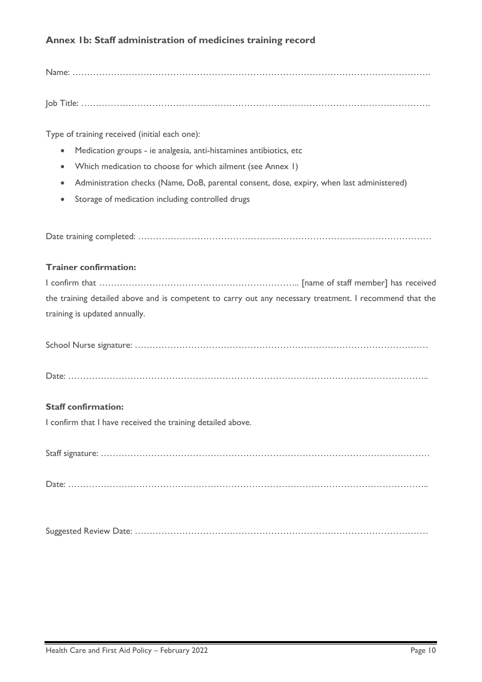# **Annex 1b: Staff administration of medicines training record**

Name: ………………………………………………………………………………………………………….

Job Title: ……………………………………………………………………………………………………….

Type of training received (initial each one):

- Medication groups ie analgesia, anti-histamines antibiotics, etc
- Which medication to choose for which ailment (see Annex 1)
- Administration checks (Name, DoB, parental consent, dose, expiry, when last administered)
- Storage of medication including controlled drugs

Date training completed: ………………………………………………………………………………………

### **Trainer confirmation:**

I confirm that ………………………………………………………….. [name of staff member] has received the training detailed above and is competent to carry out any necessary treatment. I recommend that the training is updated annually.

|--|--|

Date: …………………………………………………………………………………………………………..

## **Staff confirmation:**

I confirm that I have received the training detailed above.

Staff signature: …………………………………………………………………………………………………

Date: …………………………………………………………………………………………………………..

Suggested Review Date: ………………………………………………………………………………………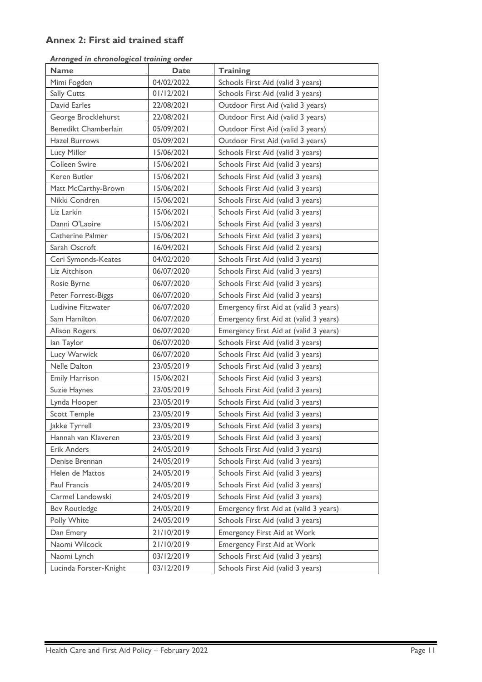# **Annex 2: First aid trained staff**

|  | Arranged in chronological training order |  |
|--|------------------------------------------|--|
|  |                                          |  |

| <b>Name</b>            | <b>Date</b> | <b>Training</b>                        |
|------------------------|-------------|----------------------------------------|
| Mimi Fogden            | 04/02/2022  | Schools First Aid (valid 3 years)      |
| Sally Cutts            | 01/12/2021  | Schools First Aid (valid 3 years)      |
| David Earles           | 22/08/2021  | Outdoor First Aid (valid 3 years)      |
| George Brocklehurst    | 22/08/2021  | Outdoor First Aid (valid 3 years)      |
| Benedikt Chamberlain   | 05/09/2021  | Outdoor First Aid (valid 3 years)      |
| <b>Hazel Burrows</b>   | 05/09/2021  | Outdoor First Aid (valid 3 years)      |
| Lucy Miller            | 15/06/2021  | Schools First Aid (valid 3 years)      |
| Colleen Swire          | 15/06/2021  | Schools First Aid (valid 3 years)      |
| Keren Butler           | 15/06/2021  | Schools First Aid (valid 3 years)      |
| Matt McCarthy-Brown    | 15/06/2021  | Schools First Aid (valid 3 years)      |
| Nikki Condren          | 15/06/2021  | Schools First Aid (valid 3 years)      |
| Liz Larkin             | 15/06/2021  | Schools First Aid (valid 3 years)      |
| Danni O'Laoire         | 15/06/2021  | Schools First Aid (valid 3 years)      |
| Catherine Palmer       | 15/06/2021  | Schools First Aid (valid 3 years)      |
| Sarah Oscroft          | 16/04/2021  | Schools First Aid (valid 2 years)      |
| Ceri Symonds-Keates    | 04/02/2020  | Schools First Aid (valid 3 years)      |
| Liz Aitchison          | 06/07/2020  | Schools First Aid (valid 3 years)      |
| Rosie Byrne            | 06/07/2020  | Schools First Aid (valid 3 years)      |
| Peter Forrest-Biggs    | 06/07/2020  | Schools First Aid (valid 3 years)      |
| Ludivine Fitzwater     | 06/07/2020  | Emergency first Aid at (valid 3 years) |
| Sam Hamilton           | 06/07/2020  | Emergency first Aid at (valid 3 years) |
| Alison Rogers          | 06/07/2020  | Emergency first Aid at (valid 3 years) |
| lan Taylor             | 06/07/2020  | Schools First Aid (valid 3 years)      |
| Lucy Warwick           | 06/07/2020  | Schools First Aid (valid 3 years)      |
| Nelle Dalton           | 23/05/2019  | Schools First Aid (valid 3 years)      |
| <b>Emily Harrison</b>  | 15/06/2021  | Schools First Aid (valid 3 years)      |
| Suzie Haynes           | 23/05/2019  | Schools First Aid (valid 3 years)      |
| Lynda Hooper           | 23/05/2019  | Schools First Aid (valid 3 years)      |
| <b>Scott Temple</b>    | 23/05/2019  | Schools First Aid (valid 3 years)      |
| Jakke Tyrrell          | 23/05/2019  | Schools First Aid (valid 3 years)      |
| Hannah van Klaveren    | 23/05/2019  | Schools First Aid (valid 3 years)      |
| <b>Erik Anders</b>     | 24/05/2019  | Schools First Aid (valid 3 years)      |
| Denise Brennan         | 24/05/2019  | Schools First Aid (valid 3 years)      |
| Helen de Mattos        | 24/05/2019  | Schools First Aid (valid 3 years)      |
| Paul Francis           | 24/05/2019  | Schools First Aid (valid 3 years)      |
| Carmel Landowski       | 24/05/2019  | Schools First Aid (valid 3 years)      |
| <b>Bev Routledge</b>   | 24/05/2019  | Emergency first Aid at (valid 3 years) |
| Polly White            | 24/05/2019  | Schools First Aid (valid 3 years)      |
| Dan Emery              | 21/10/2019  | Emergency First Aid at Work            |
| Naomi Wilcock          | 21/10/2019  | Emergency First Aid at Work            |
| Naomi Lynch            | 03/12/2019  | Schools First Aid (valid 3 years)      |
| Lucinda Forster-Knight | 03/12/2019  | Schools First Aid (valid 3 years)      |